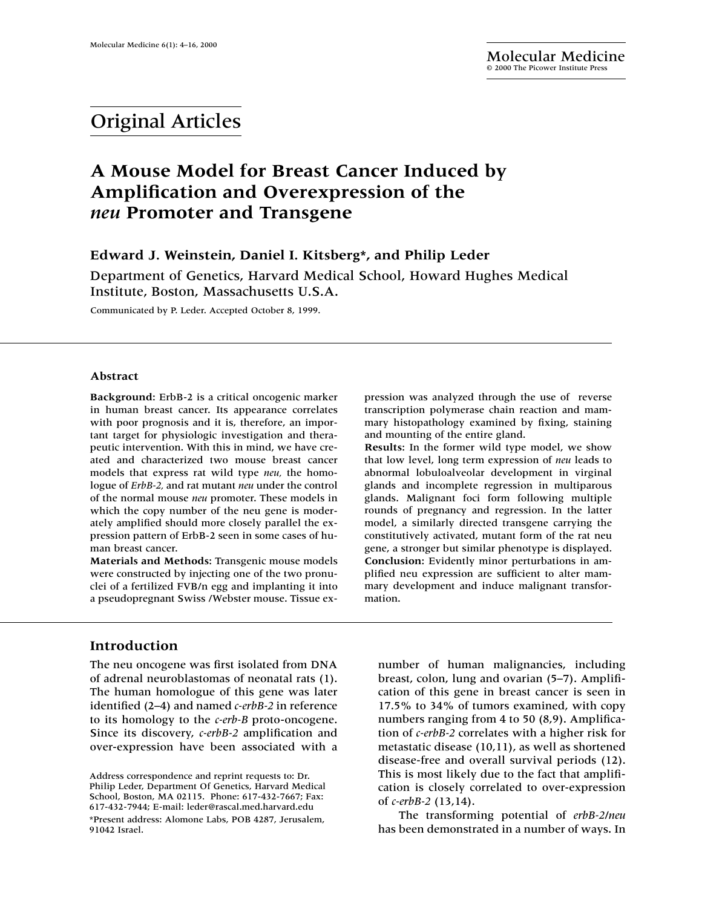# Original Articles

# **A Mouse Model for Breast Cancer Induced by Amplification and Overexpression of the**  *neu* **Promoter and Transgene**

# **Edward J. Weinstein, Daniel I. Kitsberg\*, and Philip Leder**

Department of Genetics, Harvard Medical School, Howard Hughes Medical Institute, Boston, Massachusetts U.S.A.

Communicated by P. Leder. Accepted October 8, 1999.

#### **Abstract**

**Background:** ErbB-2 is a critical oncogenic marker in human breast cancer. Its appearance correlates with poor prognosis and it is, therefore, an important target for physiologic investigation and therapeutic intervention. With this in mind, we have created and characterized two mouse breast cancer models that express rat wild type *neu,* the homologue of *ErbB-2,* and rat mutant *neu* under the control of the normal mouse *neu* promoter. These models in which the copy number of the neu gene is moderately amplified should more closely parallel the expression pattern of ErbB-2 seen in some cases of human breast cancer.

**Materials and Methods:** Transgenic mouse models were constructed by injecting one of the two pronuclei of a fertilized FVB/n egg and implanting it into a pseudopregnant Swiss /Webster mouse. Tissue ex-

# **Introduction**

The neu oncogene was first isolated from DNA of adrenal neuroblastomas of neonatal rats (1). The human homologue of this gene was later identified (2–4) and named *c-erbB-2* in reference to its homology to the *c-erb-B* proto-oncogene. Since its discovery, *c-erbB-2* amplification and over-expression have been associated with a pression was analyzed through the use of reverse transcription polymerase chain reaction and mammary histopathology examined by fixing, staining and mounting of the entire gland.

**Results:** In the former wild type model, we show that low level, long term expression of *neu* leads to abnormal lobuloalveolar development in virginal glands and incomplete regression in multiparous glands. Malignant foci form following multiple rounds of pregnancy and regression. In the latter model, a similarly directed transgene carrying the constitutively activated, mutant form of the rat neu gene, a stronger but similar phenotype is displayed. **Conclusion:** Evidently minor perturbations in amplified neu expression are sufficient to alter mammary development and induce malignant transformation.

number of human malignancies, including breast, colon, lung and ovarian (5–7). Amplification of this gene in breast cancer is seen in 17.5% to 34% of tumors examined, with copy numbers ranging from 4 to 50 (8,9). Amplification of *c-erbB-2* correlates with a higher risk for metastatic disease (10,11), as well as shortened disease-free and overall survival periods (12). This is most likely due to the fact that amplification is closely correlated to over-expression of *c-erbB-2* (13,14).

The transforming potential of *erbB-2/neu* has been demonstrated in a number of ways. In

Address correspondence and reprint requests to: Dr. Philip Leder, Department Of Genetics, Harvard Medical School, Boston, MA 02115. Phone: 617-432-7667; Fax: 617-432-7944; E-mail: leder@rascal.med.harvard.edu \*Present address: Alomone Labs, POB 4287, Jerusalem, 91042 Israel.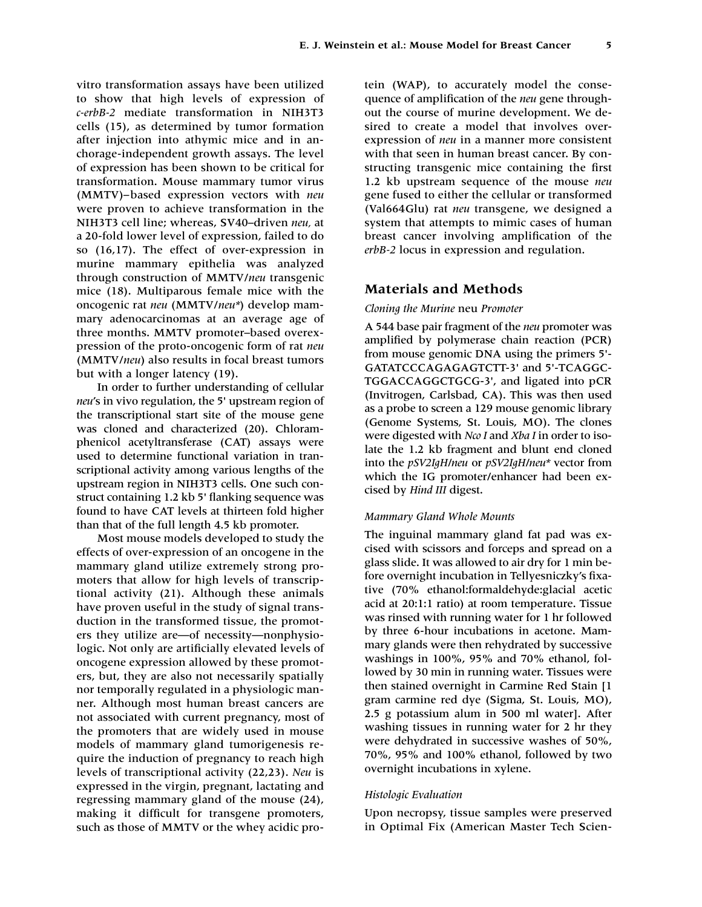vitro transformation assays have been utilized to show that high levels of expression of *c-erbB-2* mediate transformation in NIH3T3 cells (15), as determined by tumor formation after injection into athymic mice and in anchorage-independent growth assays. The level of expression has been shown to be critical for transformation. Mouse mammary tumor virus (MMTV)–based expression vectors with *neu* were proven to achieve transformation in the NIH3T3 cell line; whereas, SV40–driven *neu,* at a 20-fold lower level of expression, failed to do so (16,17). The effect of over-expression in murine mammary epithelia was analyzed through construction of MMTV/*neu* transgenic mice (18). Multiparous female mice with the oncogenic rat *neu* (MMTV/*neu\**) develop mammary adenocarcinomas at an average age of three months. MMTV promoter–based overexpression of the proto-oncogenic form of rat *neu* (MMTV/*neu*) also results in focal breast tumors but with a longer latency (19).

In order to further understanding of cellular *neu*'s in vivo regulation, the 5' upstream region of the transcriptional start site of the mouse gene was cloned and characterized (20). Chloramphenicol acetyltransferase (CAT) assays were used to determine functional variation in transcriptional activity among various lengths of the upstream region in NIH3T3 cells. One such construct containing 1.2 kb 5' flanking sequence was found to have CAT levels at thirteen fold higher than that of the full length 4.5 kb promoter.

Most mouse models developed to study the effects of over-expression of an oncogene in the mammary gland utilize extremely strong promoters that allow for high levels of transcriptional activity (21). Although these animals have proven useful in the study of signal transduction in the transformed tissue, the promoters they utilize are—of necessity—nonphysiologic. Not only are artificially elevated levels of oncogene expression allowed by these promoters, but, they are also not necessarily spatially nor temporally regulated in a physiologic manner. Although most human breast cancers are not associated with current pregnancy, most of the promoters that are widely used in mouse models of mammary gland tumorigenesis require the induction of pregnancy to reach high levels of transcriptional activity (22,23). *Neu* is expressed in the virgin, pregnant, lactating and regressing mammary gland of the mouse (24), making it difficult for transgene promoters, such as those of MMTV or the whey acidic protein (WAP), to accurately model the consequence of amplification of the *neu* gene throughout the course of murine development. We desired to create a model that involves overexpression of *neu* in a manner more consistent with that seen in human breast cancer. By constructing transgenic mice containing the first 1.2 kb upstream sequence of the mouse *neu* gene fused to either the cellular or transformed (Val664Glu) rat *neu* transgene, we designed a system that attempts to mimic cases of human breast cancer involving amplification of the *erbB-2* locus in expression and regulation.

## **Materials and Methods**

## *Cloning the Murine* neu *Promoter*

A 544 base pair fragment of the *neu* promoter was amplified by polymerase chain reaction (PCR) from mouse genomic DNA using the primers 5'- GATATCCCAGAGAGTCTT-3' and 5'-TCAGGC-TGGACCAGGCTGCG-3', and ligated into pCR (Invitrogen, Carlsbad, CA). This was then used as a probe to screen a 129 mouse genomic library (Genome Systems, St. Louis, MO). The clones were digested with *Nco I* and *Xba I* in order to isolate the 1.2 kb fragment and blunt end cloned into the *pSV2IgH/neu* or *pSV2IgH/neu\** vector from which the IG promoter/enhancer had been excised by *Hind III* digest.

## *Mammary Gland Whole Mounts*

The inguinal mammary gland fat pad was excised with scissors and forceps and spread on a glass slide. It was allowed to air dry for 1 min before overnight incubation in Tellyesniczky's fixative (70% ethanol:formaldehyde:glacial acetic acid at 20:1:1 ratio) at room temperature. Tissue was rinsed with running water for 1 hr followed by three 6-hour incubations in acetone. Mammary glands were then rehydrated by successive washings in 100%, 95% and 70% ethanol, followed by 30 min in running water. Tissues were then stained overnight in Carmine Red Stain [1 gram carmine red dye (Sigma, St. Louis, MO), 2.5 g potassium alum in 500 ml water]. After washing tissues in running water for 2 hr they were dehydrated in successive washes of 50%, 70%, 95% and 100% ethanol, followed by two overnight incubations in xylene.

#### *Histologic Evaluation*

Upon necropsy, tissue samples were preserved in Optimal Fix (American Master Tech Scien-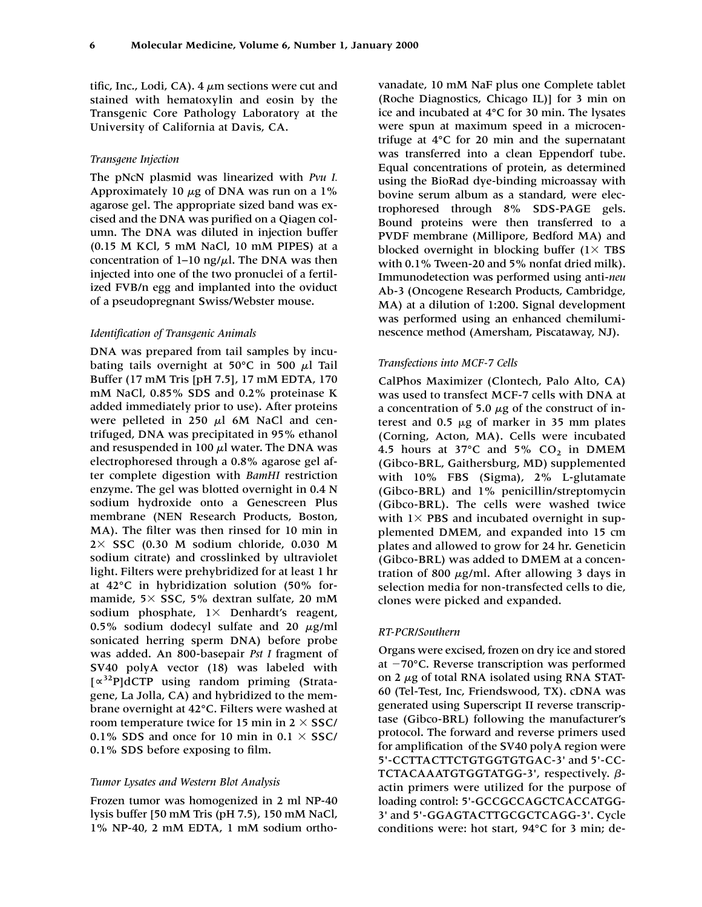tific, Inc., Lodi, CA).  $4 \mu m$  sections were cut and stained with hematoxylin and eosin by the Transgenic Core Pathology Laboratory at the University of California at Davis, CA.

### *Transgene Injection*

The pNcN plasmid was linearized with *Pvu I.* Approximately 10  $\mu$ g of DNA was run on a 1% agarose gel. The appropriate sized band was excised and the DNA was purified on a Qiagen column. The DNA was diluted in injection buffer (0.15 M KCl, 5 mM NaCl, 10 mM PIPES) at a concentration of  $1-10$  ng/ $\mu$ l. The DNA was then injected into one of the two pronuclei of a fertilized FVB/n egg and implanted into the oviduct of a pseudopregnant Swiss/Webster mouse.

#### *Identification of Transgenic Animals*

DNA was prepared from tail samples by incubating tails overnight at 50°C in 500  $\mu$ l Tail Buffer (17 mM Tris [pH 7.5], 17 mM EDTA, 170 mM NaCl, 0.85% SDS and 0.2% proteinase K added immediately prior to use). After proteins were pelleted in 250  $\mu$ l 6M NaCl and centrifuged, DNA was precipitated in 95% ethanol and resuspended in 100  $\mu$ l water. The DNA was electrophoresed through a 0.8% agarose gel after complete digestion with *BamHI* restriction enzyme. The gel was blotted overnight in 0.4 N sodium hydroxide onto a Genescreen Plus membrane (NEN Research Products, Boston, MA). The filter was then rinsed for 10 min in  $2 \times$  SSC (0.30 M sodium chloride, 0.030 M sodium citrate) and crosslinked by ultraviolet light. Filters were prehybridized for at least 1 hr at 42°C in hybridization solution (50% formamide,  $5 \times$  SSC,  $5\%$  dextran sulfate, 20 mM sodium phosphate,  $1 \times$  Denhardt's reagent, 0.5% sodium dodecyl sulfate and 20  $\mu$ g/ml sonicated herring sperm DNA) before probe was added. An 800-basepair *Pst I* fragment of SV40 polyA vector (18) was labeled with [∝32P]dCTP using random priming (Stratagene, La Jolla, CA) and hybridized to the membrane overnight at 42°C. Filters were washed at room temperature twice for 15 min in  $2 \times$  SSC/ 0.1% SDS and once for 10 min in 0.1  $\times$  SSC/ 0.1% SDS before exposing to film.

#### *Tumor Lysates and Western Blot Analysis*

Frozen tumor was homogenized in 2 ml NP-40 lysis buffer [50 mM Tris (pH 7.5), 150 mM NaCl, 1% NP-40, 2 mM EDTA, 1 mM sodium ortho-

vanadate, 10 mM NaF plus one Complete tablet (Roche Diagnostics, Chicago IL)] for 3 min on ice and incubated at 4°C for 30 min. The lysates were spun at maximum speed in a microcentrifuge at 4°C for 20 min and the supernatant was transferred into a clean Eppendorf tube. Equal concentrations of protein, as determined using the BioRad dye-binding microassay with bovine serum album as a standard, were electrophoresed through 8% SDS-PAGE gels. Bound proteins were then transferred to a PVDF membrane (Millipore, Bedford MA) and blocked overnight in blocking buffer  $(1 \times TBS)$ with 0.1% Tween-20 and 5% nonfat dried milk). Immunodetection was performed using anti-*neu* Ab-3 (Oncogene Research Products, Cambridge, MA) at a dilution of 1:200. Signal development was performed using an enhanced chemiluminescence method (Amersham, Piscataway, NJ).

## *Transfections into MCF-7 Cells*

CalPhos Maximizer (Clontech, Palo Alto, CA) was used to transfect MCF-7 cells with DNA at a concentration of 5.0  $\mu$ g of the construct of interest and  $0.5 \mu g$  of marker in 35 mm plates (Corning, Acton, MA). Cells were incubated 4.5 hours at 37 $\degree$ C and 5% CO<sub>2</sub> in DMEM (Gibco-BRL, Gaithersburg, MD) supplemented with 10% FBS (Sigma), 2% L-glutamate (Gibco-BRL) and 1% penicillin/streptomycin (Gibco-BRL). The cells were washed twice with  $1 \times$  PBS and incubated overnight in supplemented DMEM, and expanded into 15 cm plates and allowed to grow for 24 hr. Geneticin (Gibco-BRL) was added to DMEM at a concentration of 800  $\mu$ g/ml. After allowing 3 days in selection media for non-transfected cells to die, clones were picked and expanded.

#### *RT-PCR/Southern*

Organs were excised, frozen on dry ice and stored at  $-70^{\circ}$ C. Reverse transcription was performed on 2  $\mu$ g of total RNA isolated using RNA STAT-60 (Tel-Test, Inc, Friendswood, TX). cDNA was generated using Superscript II reverse transcriptase (Gibco-BRL) following the manufacturer's protocol. The forward and reverse primers used for amplification of the SV40 polyA region were 5'-CCTTACTTCTGTGGTGTGAC-3' and 5'-CC-TCTACAAATGTGGTATGG-3', respectively.  $\beta$ actin primers were utilized for the purpose of loading control: 5'-GCCGCCAGCTCACCATGG-3' and 5'-GGAGTACTTGCGCTCAGG-3'. Cycle conditions were: hot start, 94°C for 3 min; de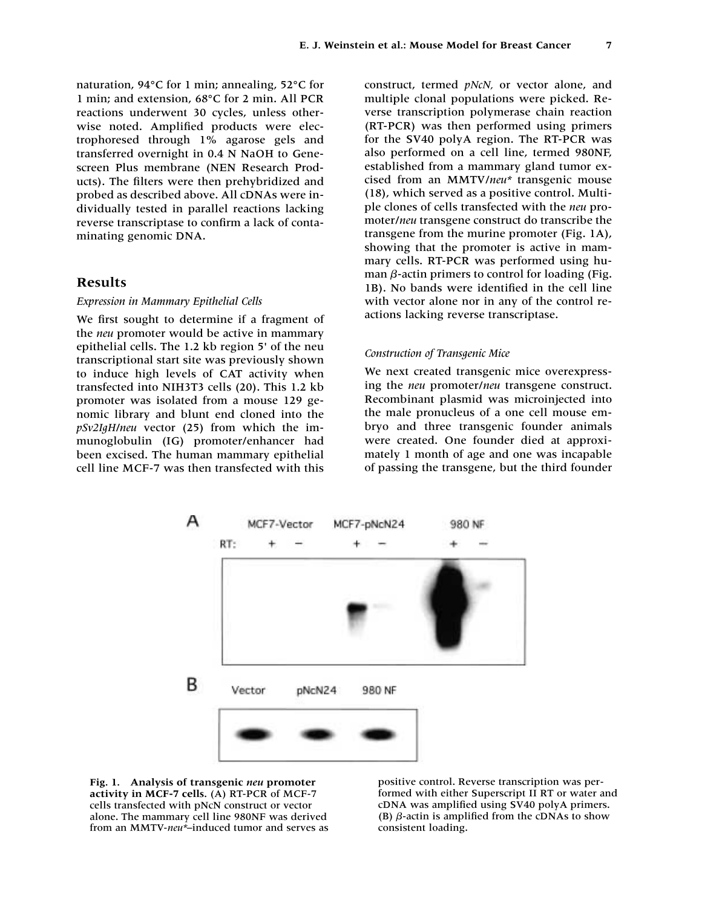naturation, 94°C for 1 min; annealing, 52°C for 1 min; and extension, 68°C for 2 min. All PCR reactions underwent 30 cycles, unless otherwise noted. Amplified products were electrophoresed through 1% agarose gels and transferred overnight in 0.4 N NaOH to Genescreen Plus membrane (NEN Research Products). The filters were then prehybridized and probed as described above. All cDNAs were individually tested in parallel reactions lacking reverse transcriptase to confirm a lack of contaminating genomic DNA.

## **Results**

## *Expression in Mammary Epithelial Cells*

We first sought to determine if a fragment of the *neu* promoter would be active in mammary epithelial cells. The 1.2 kb region 5' of the neu transcriptional start site was previously shown to induce high levels of CAT activity when transfected into NIH3T3 cells (20). This 1.2 kb promoter was isolated from a mouse 129 genomic library and blunt end cloned into the *pSv2IgH/neu* vector (25) from which the immunoglobulin (IG) promoter/enhancer had been excised. The human mammary epithelial cell line MCF-7 was then transfected with this

construct, termed *pNcN,* or vector alone, and multiple clonal populations were picked. Reverse transcription polymerase chain reaction (RT-PCR) was then performed using primers for the SV40 polyA region. The RT-PCR was also performed on a cell line, termed 980NF, established from a mammary gland tumor excised from an MMTV/*neu\** transgenic mouse (18), which served as a positive control. Multiple clones of cells transfected with the *neu* promoter/*neu* transgene construct do transcribe the transgene from the murine promoter (Fig. 1A), showing that the promoter is active in mammary cells. RT-PCR was performed using human  $\beta$ -actin primers to control for loading (Fig. 1B). No bands were identified in the cell line with vector alone nor in any of the control reactions lacking reverse transcriptase.

#### *Construction of Transgenic Mice*

We next created transgenic mice overexpressing the *neu* promoter/*neu* transgene construct. Recombinant plasmid was microinjected into the male pronucleus of a one cell mouse embryo and three transgenic founder animals were created. One founder died at approximately 1 month of age and one was incapable of passing the transgene, but the third founder





positive control. Reverse transcription was performed with either Superscript II RT or water and cDNA was amplified using SV40 polyA primers. (B)  $\beta$ -actin is amplified from the cDNAs to show consistent loading.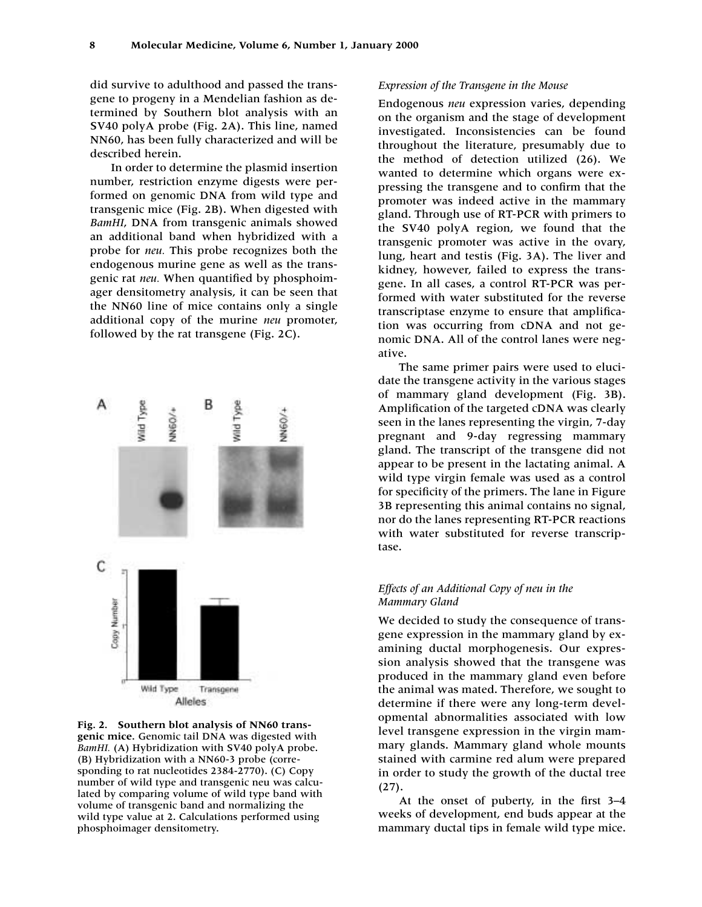did survive to adulthood and passed the transgene to progeny in a Mendelian fashion as determined by Southern blot analysis with an SV40 polyA probe (Fig. 2A). This line, named NN60, has been fully characterized and will be described herein.

In order to determine the plasmid insertion number, restriction enzyme digests were performed on genomic DNA from wild type and transgenic mice (Fig. 2B). When digested with *BamHI*, DNA from transgenic animals showed an additional band when hybridized with a probe for *neu.* This probe recognizes both the endogenous murine gene as well as the transgenic rat *neu.* When quantified by phosphoimager densitometry analysis, it can be seen that the NN60 line of mice contains only a single additional copy of the murine *neu* promoter, followed by the rat transgene (Fig. 2C).



**Fig. 2. Southern blot analysis of NN60 transgenic mice.** Genomic tail DNA was digested with *BamHI.* (A) Hybridization with SV40 polyA probe. (B) Hybridization with a NN60-3 probe (corresponding to rat nucleotides 2384-2770). (C) Copy number of wild type and transgenic neu was calculated by comparing volume of wild type band with volume of transgenic band and normalizing the wild type value at 2. Calculations performed using phosphoimager densitometry.

#### *Expression of the Transgene in the Mouse*

Endogenous *neu* expression varies, depending on the organism and the stage of development investigated. Inconsistencies can be found throughout the literature, presumably due to the method of detection utilized (26). We wanted to determine which organs were expressing the transgene and to confirm that the promoter was indeed active in the mammary gland. Through use of RT-PCR with primers to the SV40 polyA region, we found that the transgenic promoter was active in the ovary, lung, heart and testis (Fig. 3A). The liver and kidney, however, failed to express the transgene. In all cases, a control RT-PCR was performed with water substituted for the reverse transcriptase enzyme to ensure that amplification was occurring from cDNA and not genomic DNA. All of the control lanes were negative.

The same primer pairs were used to elucidate the transgene activity in the various stages of mammary gland development (Fig. 3B). Amplification of the targeted cDNA was clearly seen in the lanes representing the virgin, 7-day pregnant and 9-day regressing mammary gland. The transcript of the transgene did not appear to be present in the lactating animal. A wild type virgin female was used as a control for specificity of the primers. The lane in Figure 3B representing this animal contains no signal, nor do the lanes representing RT-PCR reactions with water substituted for reverse transcriptase.

## *Effects of an Additional Copy of neu in the Mammary Gland*

We decided to study the consequence of transgene expression in the mammary gland by examining ductal morphogenesis. Our expression analysis showed that the transgene was produced in the mammary gland even before the animal was mated. Therefore, we sought to determine if there were any long-term developmental abnormalities associated with low level transgene expression in the virgin mammary glands. Mammary gland whole mounts stained with carmine red alum were prepared in order to study the growth of the ductal tree (27).

At the onset of puberty, in the first 3–4 weeks of development, end buds appear at the mammary ductal tips in female wild type mice.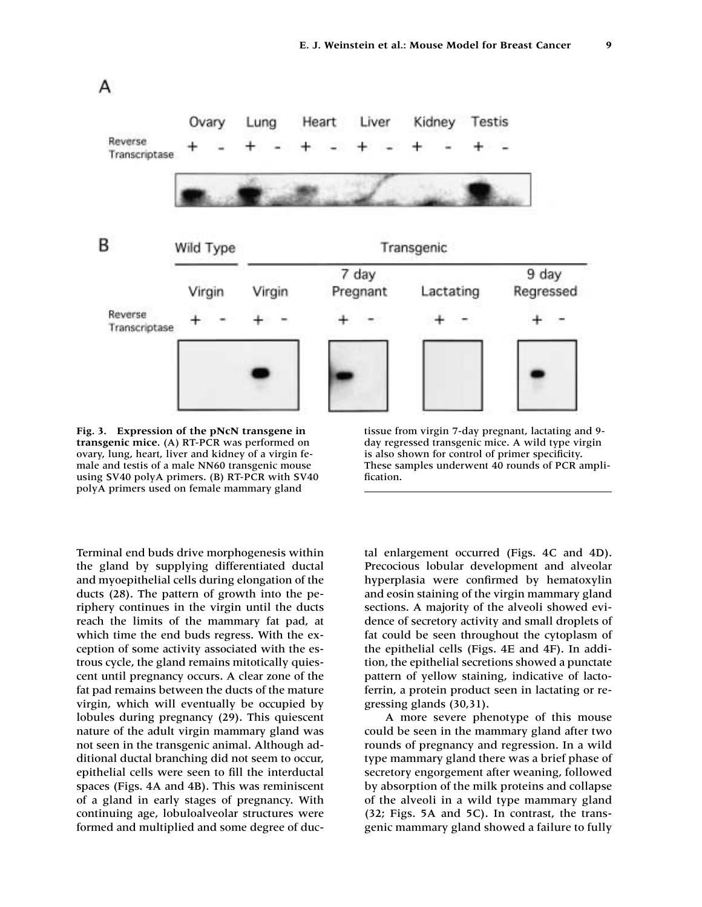

**Fig. 3. Expression of the pNcN transgene in transgenic mice.** (A) RT-PCR was performed on ovary, lung, heart, liver and kidney of a virgin female and testis of a male NN60 transgenic mouse using SV40 polyA primers. (B) RT-PCR with SV40 polyA primers used on female mammary gland

Terminal end buds drive morphogenesis within the gland by supplying differentiated ductal and myoepithelial cells during elongation of the ducts (28). The pattern of growth into the periphery continues in the virgin until the ducts reach the limits of the mammary fat pad, at which time the end buds regress. With the exception of some activity associated with the estrous cycle, the gland remains mitotically quiescent until pregnancy occurs. A clear zone of the fat pad remains between the ducts of the mature virgin, which will eventually be occupied by

lobules during pregnancy (29). This quiescent nature of the adult virgin mammary gland was not seen in the transgenic animal. Although additional ductal branching did not seem to occur, epithelial cells were seen to fill the interductal spaces (Figs. 4A and 4B). This was reminiscent of a gland in early stages of pregnancy. With continuing age, lobuloalveolar structures were formed and multiplied and some degree of ductissue from virgin 7-day pregnant, lactating and 9 day regressed transgenic mice. A wild type virgin is also shown for control of primer specificity. These samples underwent 40 rounds of PCR amplification.

tal enlargement occurred (Figs. 4C and 4D). Precocious lobular development and alveolar hyperplasia were confirmed by hematoxylin and eosin staining of the virgin mammary gland sections. A majority of the alveoli showed evidence of secretory activity and small droplets of fat could be seen throughout the cytoplasm of the epithelial cells (Figs. 4E and 4F). In addition, the epithelial secretions showed a punctate pattern of yellow staining, indicative of lactoferrin, a protein product seen in lactating or regressing glands (30,31).

A more severe phenotype of this mouse could be seen in the mammary gland after two rounds of pregnancy and regression. In a wild type mammary gland there was a brief phase of secretory engorgement after weaning, followed by absorption of the milk proteins and collapse of the alveoli in a wild type mammary gland (32; Figs. 5A and 5C). In contrast, the transgenic mammary gland showed a failure to fully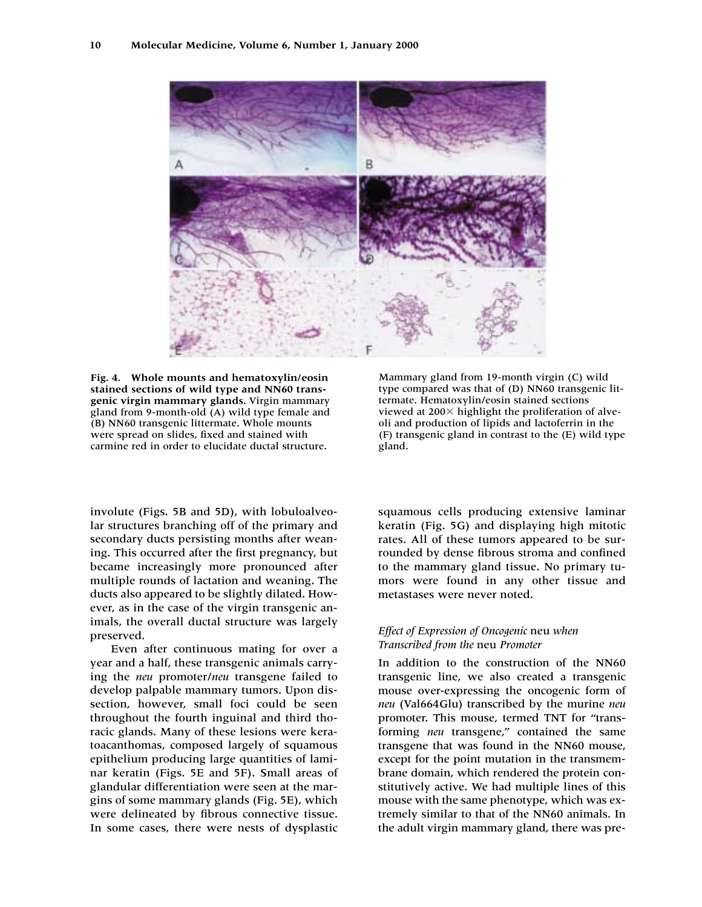

**Fig. 4. Whole mounts and hematoxylin/eosin stained sections of wild type and NN60 transgenic virgin mammary glands.** Virgin mammary gland from 9-month-old (A) wild type female and (B) NN60 transgenic littermate. Whole mounts were spread on slides, fixed and stained with carmine red in order to elucidate ductal structure.

involute (Figs. 5B and 5D), with lobuloalveolar structures branching off of the primary and secondary ducts persisting months after weaning. This occurred after the first pregnancy, but became increasingly more pronounced after multiple rounds of lactation and weaning. The ducts also appeared to be slightly dilated. However, as in the case of the virgin transgenic animals, the overall ductal structure was largely preserved.

Even after continuous mating for over a year and a half, these transgenic animals carrying the *neu* promoter/*neu* transgene failed to develop palpable mammary tumors. Upon dissection, however, small foci could be seen throughout the fourth inguinal and third thoracic glands. Many of these lesions were keratoacanthomas, composed largely of squamous epithelium producing large quantities of laminar keratin (Figs. 5E and 5F). Small areas of glandular differentiation were seen at the margins of some mammary glands (Fig. 5E), which were delineated by fibrous connective tissue. In some cases, there were nests of dysplastic Mammary gland from 19-month virgin (C) wild type compared was that of (D) NN60 transgenic littermate. Hematoxylin/eosin stained sections viewed at  $200\times$  highlight the proliferation of alveoli and production of lipids and lactoferrin in the (F) transgenic gland in contrast to the (E) wild type gland.

squamous cells producing extensive laminar keratin (Fig. 5G) and displaying high mitotic rates. All of these tumors appeared to be surrounded by dense fibrous stroma and confined to the mammary gland tissue. No primary tumors were found in any other tissue and metastases were never noted.

## *Effect of Expression of Oncogenic* neu *when Transcribed from the* neu *Promoter*

In addition to the construction of the NN60 transgenic line, we also created a transgenic mouse over-expressing the oncogenic form of *neu* (Val664Glu) transcribed by the murine *neu* promoter. This mouse, termed TNT for "transforming *neu* transgene," contained the same transgene that was found in the NN60 mouse, except for the point mutation in the transmembrane domain, which rendered the protein constitutively active. We had multiple lines of this mouse with the same phenotype, which was extremely similar to that of the NN60 animals. In the adult virgin mammary gland, there was pre-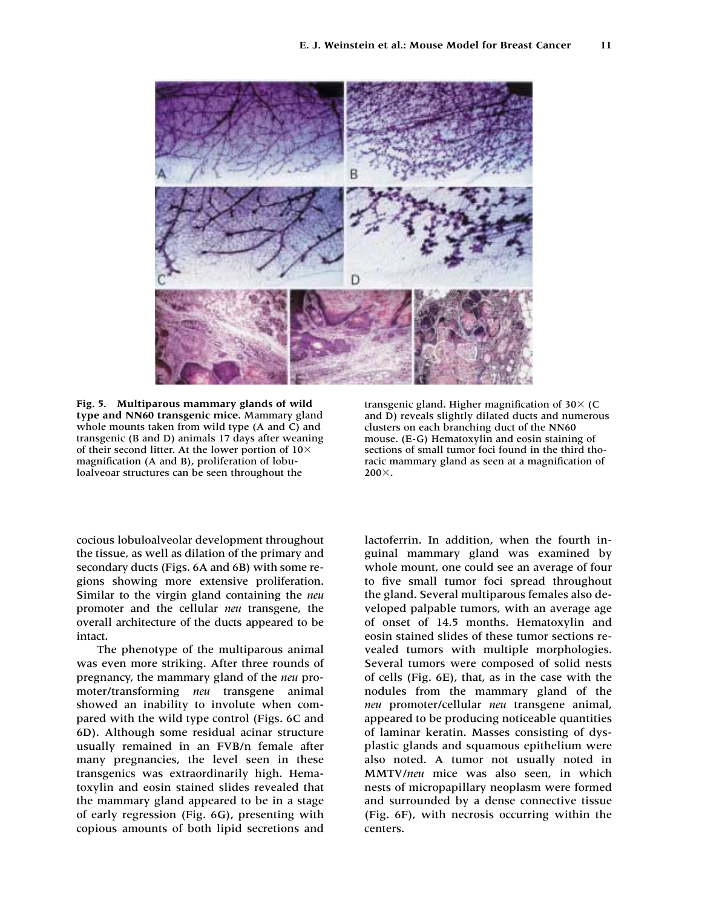

**Fig. 5. Multiparous mammary glands of wild type and NN60 transgenic mice.** Mammary gland whole mounts taken from wild type (A and C) and transgenic (B and D) animals 17 days after weaning of their second litter. At the lower portion of  $10\times$ magnification (A and B), proliferation of lobuloalveoar structures can be seen throughout the

cocious lobuloalveolar development throughout the tissue, as well as dilation of the primary and secondary ducts (Figs. 6A and 6B) with some regions showing more extensive proliferation. Similar to the virgin gland containing the *neu* promoter and the cellular *neu* transgene, the overall architecture of the ducts appeared to be intact.

The phenotype of the multiparous animal was even more striking. After three rounds of pregnancy, the mammary gland of the *neu* promoter/transforming *neu* transgene animal showed an inability to involute when compared with the wild type control (Figs. 6C and 6D). Although some residual acinar structure usually remained in an FVB/n female after many pregnancies, the level seen in these transgenics was extraordinarily high. Hematoxylin and eosin stained slides revealed that the mammary gland appeared to be in a stage of early regression (Fig. 6G), presenting with copious amounts of both lipid secretions and

transgenic gland. Higher magnification of 30 $\times$  (C and D) reveals slightly dilated ducts and numerous clusters on each branching duct of the NN60 mouse. (E-G) Hematoxylin and eosin staining of sections of small tumor foci found in the third thoracic mammary gland as seen at a magnification of  $200\times$ .

lactoferrin. In addition, when the fourth inguinal mammary gland was examined by whole mount, one could see an average of four to five small tumor foci spread throughout the gland. Several multiparous females also developed palpable tumors, with an average age of onset of 14.5 months. Hematoxylin and eosin stained slides of these tumor sections revealed tumors with multiple morphologies. Several tumors were composed of solid nests of cells (Fig. 6E), that, as in the case with the nodules from the mammary gland of the *neu* promoter/cellular *neu* transgene animal, appeared to be producing noticeable quantities of laminar keratin. Masses consisting of dysplastic glands and squamous epithelium were also noted. A tumor not usually noted in MMTV/*neu* mice was also seen, in which nests of micropapillary neoplasm were formed and surrounded by a dense connective tissue (Fig. 6F), with necrosis occurring within the centers.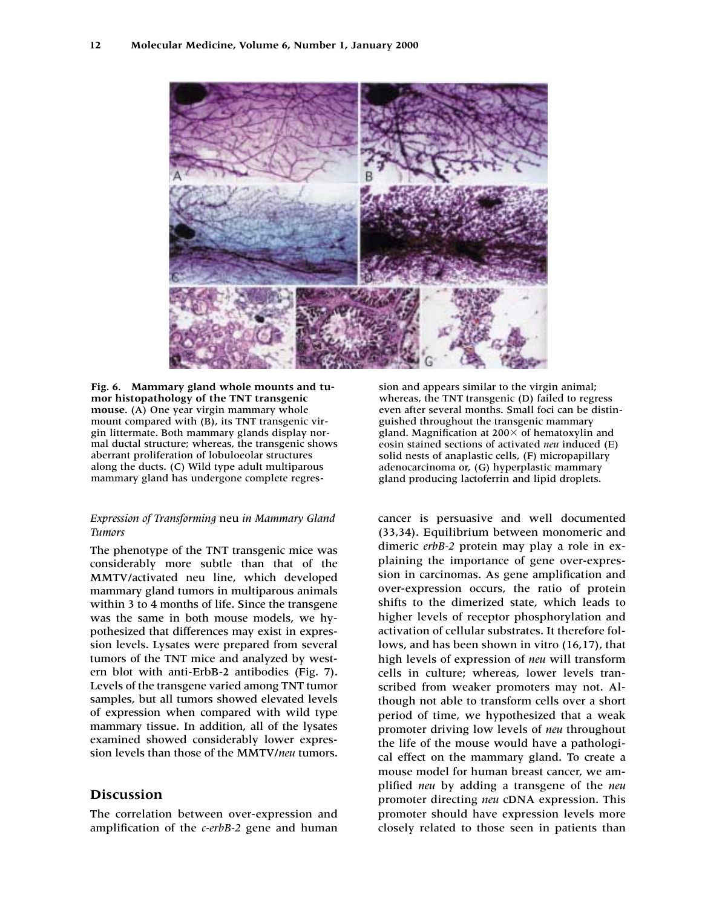

**Fig. 6. Mammary gland whole mounts and tumor histopathology of the TNT transgenic mouse.** (A) One year virgin mammary whole mount compared with (B), its TNT transgenic virgin littermate. Both mammary glands display normal ductal structure; whereas, the transgenic shows aberrant proliferation of lobuloeolar structures along the ducts. (C) Wild type adult multiparous mammary gland has undergone complete regres-

## *Expression of Transforming* neu *in Mammary Gland Tumors*

The phenotype of the TNT transgenic mice was considerably more subtle than that of the MMTV/activated neu line, which developed mammary gland tumors in multiparous animals within 3 to 4 months of life. Since the transgene was the same in both mouse models, we hypothesized that differences may exist in expression levels. Lysates were prepared from several tumors of the TNT mice and analyzed by western blot with anti-ErbB-2 antibodies (Fig. 7). Levels of the transgene varied among TNT tumor samples, but all tumors showed elevated levels of expression when compared with wild type mammary tissue. In addition, all of the lysates examined showed considerably lower expression levels than those of the MMTV/*neu* tumors.

# **Discussion**

The correlation between over-expression and amplification of the *c-erbB-2* gene and human sion and appears similar to the virgin animal; whereas, the TNT transgenic (D) failed to regress even after several months. Small foci can be distinguished throughout the transgenic mammary gland. Magnification at  $200\times$  of hematoxylin and eosin stained sections of activated *neu* induced (E) solid nests of anaplastic cells, (F) micropapillary adenocarcinoma or, (G) hyperplastic mammary gland producing lactoferrin and lipid droplets.

cancer is persuasive and well documented (33,34). Equilibrium between monomeric and dimeric *erbB-2* protein may play a role in explaining the importance of gene over-expression in carcinomas. As gene amplification and over-expression occurs, the ratio of protein shifts to the dimerized state, which leads to higher levels of receptor phosphorylation and activation of cellular substrates. It therefore follows, and has been shown in vitro (16,17), that high levels of expression of *neu* will transform cells in culture; whereas, lower levels transcribed from weaker promoters may not. Although not able to transform cells over a short period of time, we hypothesized that a weak promoter driving low levels of *neu* throughout the life of the mouse would have a pathological effect on the mammary gland. To create a mouse model for human breast cancer, we amplified *neu* by adding a transgene of the *neu* promoter directing *neu* cDNA expression. This promoter should have expression levels more closely related to those seen in patients than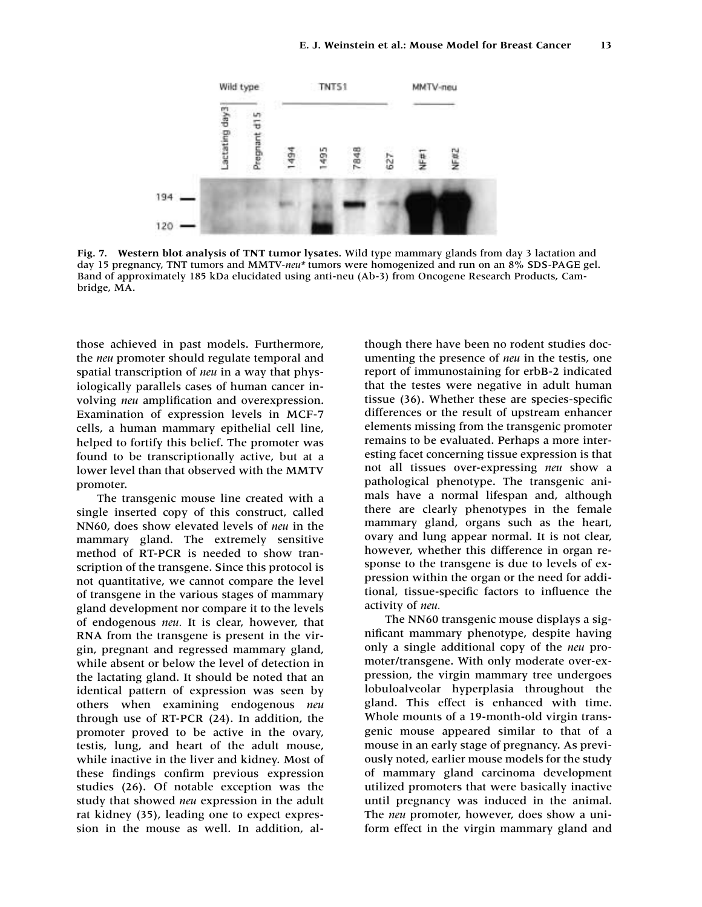

**Fig. 7. Western blot analysis of TNT tumor lysates.** Wild type mammary glands from day 3 lactation and day 15 pregnancy, TNT tumors and MMTV-*neu\** tumors were homogenized and run on an 8% SDS-PAGE gel. Band of approximately 185 kDa elucidated using anti-neu (Ab-3) from Oncogene Research Products, Cambridge, MA.

those achieved in past models. Furthermore, the *neu* promoter should regulate temporal and spatial transcription of *neu* in a way that physiologically parallels cases of human cancer involving *neu* amplification and overexpression. Examination of expression levels in MCF-7 cells, a human mammary epithelial cell line, helped to fortify this belief. The promoter was found to be transcriptionally active, but at a lower level than that observed with the MMTV promoter.

The transgenic mouse line created with a single inserted copy of this construct, called NN60, does show elevated levels of *neu* in the mammary gland. The extremely sensitive method of RT-PCR is needed to show transcription of the transgene. Since this protocol is not quantitative, we cannot compare the level of transgene in the various stages of mammary gland development nor compare it to the levels of endogenous *neu.* It is clear, however, that RNA from the transgene is present in the virgin, pregnant and regressed mammary gland, while absent or below the level of detection in the lactating gland. It should be noted that an identical pattern of expression was seen by others when examining endogenous *neu* through use of RT-PCR (24). In addition, the promoter proved to be active in the ovary, testis, lung, and heart of the adult mouse, while inactive in the liver and kidney. Most of these findings confirm previous expression studies (26). Of notable exception was the study that showed *neu* expression in the adult rat kidney (35), leading one to expect expression in the mouse as well. In addition, although there have been no rodent studies documenting the presence of *neu* in the testis, one report of immunostaining for erbB-2 indicated that the testes were negative in adult human tissue (36). Whether these are species-specific differences or the result of upstream enhancer elements missing from the transgenic promoter remains to be evaluated. Perhaps a more interesting facet concerning tissue expression is that not all tissues over-expressing *neu* show a pathological phenotype. The transgenic animals have a normal lifespan and, although there are clearly phenotypes in the female mammary gland, organs such as the heart, ovary and lung appear normal. It is not clear, however, whether this difference in organ response to the transgene is due to levels of expression within the organ or the need for additional, tissue-specific factors to influence the activity of *neu.*

The NN60 transgenic mouse displays a significant mammary phenotype, despite having only a single additional copy of the *neu* promoter/transgene. With only moderate over-expression, the virgin mammary tree undergoes lobuloalveolar hyperplasia throughout the gland. This effect is enhanced with time. Whole mounts of a 19-month-old virgin transgenic mouse appeared similar to that of a mouse in an early stage of pregnancy. As previously noted, earlier mouse models for the study of mammary gland carcinoma development utilized promoters that were basically inactive until pregnancy was induced in the animal. The *neu* promoter, however, does show a uniform effect in the virgin mammary gland and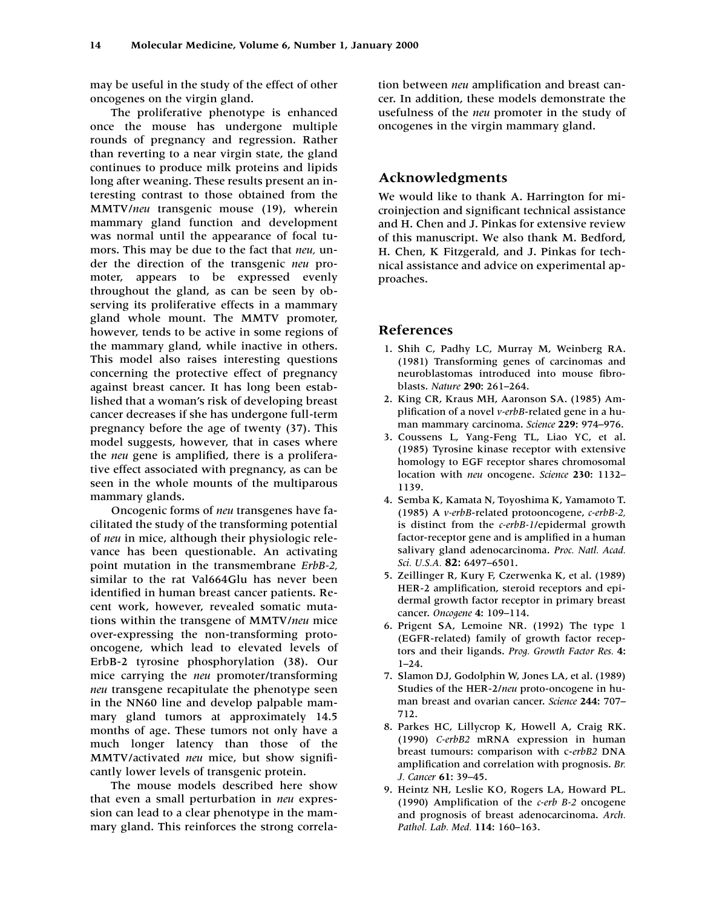may be useful in the study of the effect of other oncogenes on the virgin gland.

The proliferative phenotype is enhanced once the mouse has undergone multiple rounds of pregnancy and regression. Rather than reverting to a near virgin state, the gland continues to produce milk proteins and lipids long after weaning. These results present an interesting contrast to those obtained from the MMTV/*neu* transgenic mouse (19), wherein mammary gland function and development was normal until the appearance of focal tumors. This may be due to the fact that *neu,* under the direction of the transgenic *neu* promoter, appears to be expressed evenly throughout the gland, as can be seen by observing its proliferative effects in a mammary gland whole mount. The MMTV promoter, however, tends to be active in some regions of the mammary gland, while inactive in others. This model also raises interesting questions concerning the protective effect of pregnancy against breast cancer. It has long been established that a woman's risk of developing breast cancer decreases if she has undergone full-term pregnancy before the age of twenty (37). This model suggests, however, that in cases where the *neu* gene is amplified, there is a proliferative effect associated with pregnancy, as can be seen in the whole mounts of the multiparous mammary glands.

Oncogenic forms of *neu* transgenes have facilitated the study of the transforming potential of *neu* in mice, although their physiologic relevance has been questionable. An activating point mutation in the transmembrane *ErbB-2,* similar to the rat Val664Glu has never been identified in human breast cancer patients. Recent work, however, revealed somatic mutations within the transgene of MMTV/*neu* mice over-expressing the non-transforming protooncogene, which lead to elevated levels of ErbB-2 tyrosine phosphorylation (38). Our mice carrying the *neu* promoter/transforming *neu* transgene recapitulate the phenotype seen in the NN60 line and develop palpable mammary gland tumors at approximately 14.5 months of age. These tumors not only have a much longer latency than those of the MMTV/activated *neu* mice, but show significantly lower levels of transgenic protein.

The mouse models described here show that even a small perturbation in *neu* expression can lead to a clear phenotype in the mammary gland. This reinforces the strong correlation between *neu* amplification and breast cancer. In addition, these models demonstrate the usefulness of the *neu* promoter in the study of oncogenes in the virgin mammary gland.

# **Acknowledgments**

We would like to thank A. Harrington for microinjection and significant technical assistance and H. Chen and J. Pinkas for extensive review of this manuscript. We also thank M. Bedford, H. Chen, K Fitzgerald, and J. Pinkas for technical assistance and advice on experimental approaches.

# **References**

- 1. Shih C, Padhy LC, Murray M, Weinberg RA. (1981) Transforming genes of carcinomas and neuroblastomas introduced into mouse fibroblasts. *Nature* **290:** 261–264.
- 12. King CR, Kraus MH, Aaronson SA. (1985) Amplification of a novel *v-erbB*-related gene in a human mammary carcinoma. *Science* **229:** 974–976.
- 13. Coussens L, Yang-Feng TL, Liao YC, et al. (1985) Tyrosine kinase receptor with extensive homology to EGF receptor shares chromosomal location with *neu* oncogene. *Science* **230:** 1132– 1139.
- 14. Semba K, Kamata N, Toyoshima K, Yamamoto T. (1985) A *v-erbB*-related protooncogene, *c-erbB-2,* is distinct from the *c-erbB-1*/epidermal growth factor-receptor gene and is amplified in a human salivary gland adenocarcinoma. *Proc. Natl. Acad. Sci. U.S.A.* **82:** 6497–6501.
- 15. Zeillinger R, Kury F, Czerwenka K, et al. (1989) HER-2 amplification, steroid receptors and epidermal growth factor receptor in primary breast cancer. *Oncogene* **4:** 109–114.
- 16. Prigent SA, Lemoine NR. (1992) The type 1 (EGFR-related) family of growth factor receptors and their ligands. *Prog. Growth Factor Res.* **4:** 1–24.
- 17. Slamon DJ, Godolphin W, Jones LA, et al. (1989) Studies of the HER-2/*neu* proto-oncogene in human breast and ovarian cancer. *Science* **244:** 707– 712.
- 18. Parkes HC, Lillycrop K, Howell A, Craig RK. (1990) *C-erbB2* mRNA expression in human breast tumours: comparison with c-*erbB2* DNA amplification and correlation with prognosis. *Br. J. Cancer* **61:** 39–45.
- 19. Heintz NH, Leslie KO, Rogers LA, Howard PL. (1990) Amplification of the *c-erb B-2* oncogene and prognosis of breast adenocarcinoma. *Arch. Pathol. Lab. Med.* **114:** 160–163.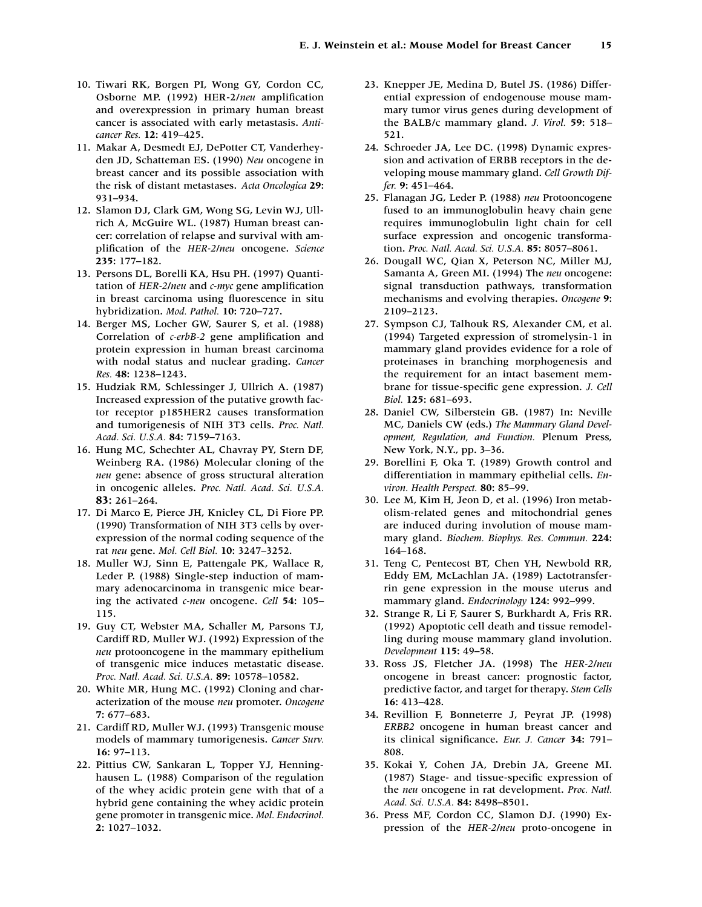- 10. Tiwari RK, Borgen PI, Wong GY, Cordon CC, Osborne MP. (1992) HER-2/*neu* amplification and overexpression in primary human breast cancer is associated with early metastasis. *Anticancer Res.* **12:** 419–425.
- 11. Makar A, Desmedt EJ, DePotter CT, Vanderheyden JD, Schatteman ES. (1990) *Neu* oncogene in breast cancer and its possible association with the risk of distant metastases. *Acta Oncologica* **29:** 931–934.
- 12. Slamon DJ, Clark GM, Wong SG, Levin WJ, Ullrich A, McGuire WL. (1987) Human breast cancer: correlation of relapse and survival with amplification of the *HER-2/neu* oncogene. *Science* **235:** 177–182.
- 13. Persons DL, Borelli KA, Hsu PH. (1997) Quantitation of *HER-2/neu* and *c-myc* gene amplification in breast carcinoma using fluorescence in situ hybridization. *Mod. Pathol.* **10:** 720–727.
- 14. Berger MS, Locher GW, Saurer S, et al. (1988) Correlation of *c-erbB-2* gene amplification and protein expression in human breast carcinoma with nodal status and nuclear grading. *Cancer Res.* **48:** 1238–1243.
- 15. Hudziak RM, Schlessinger J, Ullrich A. (1987) Increased expression of the putative growth factor receptor p185HER2 causes transformation and tumorigenesis of NIH 3T3 cells. *Proc. Natl. Acad. Sci. U.S.A.* **84:** 7159–7163.
- 16. Hung MC, Schechter AL, Chavray PY, Stern DF, Weinberg RA. (1986) Molecular cloning of the *neu* gene: absence of gross structural alteration in oncogenic alleles. *Proc. Natl. Acad. Sci. U.S.A.* **83:** 261–264.
- 17. Di Marco E, Pierce JH, Knicley CL, Di Fiore PP. (1990) Transformation of NIH 3T3 cells by overexpression of the normal coding sequence of the rat *neu* gene. *Mol. Cell Biol.* **10:** 3247–3252.
- 18. Muller WJ, Sinn E, Pattengale PK, Wallace R, Leder P. (1988) Single-step induction of mammary adenocarcinoma in transgenic mice bearing the activated *c-neu* oncogene. *Cell* **54:** 105– 115.
- 19. Guy CT, Webster MA, Schaller M, Parsons TJ, Cardiff RD, Muller WJ. (1992) Expression of the *neu* protooncogene in the mammary epithelium of transgenic mice induces metastatic disease. *Proc. Natl. Acad. Sci. U.S.A.* **89:** 10578–10582.
- 20. White MR, Hung MC. (1992) Cloning and characterization of the mouse *neu* promoter. *Oncogene* **7:** 677–683.
- 21. Cardiff RD, Muller WJ. (1993) Transgenic mouse models of mammary tumorigenesis. *Cancer Surv.* **16:** 97–113.
- 22. Pittius CW, Sankaran L, Topper YJ, Henninghausen L. (1988) Comparison of the regulation of the whey acidic protein gene with that of a hybrid gene containing the whey acidic protein gene promoter in transgenic mice. *Mol. Endocrinol.* **2:** 1027–1032.
- 23. Knepper JE, Medina D, Butel JS. (1986) Differential expression of endogenouse mouse mammary tumor virus genes during development of the BALB/c mammary gland. *J. Virol.* **59:** 518– 521.
- 24. Schroeder JA, Lee DC. (1998) Dynamic expression and activation of ERBB receptors in the developing mouse mammary gland. *Cell Growth Differ.* **9:** 451–464.
- 25. Flanagan JG, Leder P. (1988) *neu* Protooncogene fused to an immunoglobulin heavy chain gene requires immunoglobulin light chain for cell surface expression and oncogenic transformation. *Proc. Natl. Acad. Sci. U.S.A.* **85:** 8057–8061.
- 26. Dougall WC, Qian X, Peterson NC, Miller MJ, Samanta A, Green MI. (1994) The *neu* oncogene: signal transduction pathways, transformation mechanisms and evolving therapies. *Oncogene* **9:** 2109–2123.
- 27. Sympson CJ, Talhouk RS, Alexander CM, et al. (1994) Targeted expression of stromelysin-1 in mammary gland provides evidence for a role of proteinases in branching morphogenesis and the requirement for an intact basement membrane for tissue-specific gene expression. *J. Cell Biol.* **125:** 681–693.
- 28. Daniel CW, Silberstein GB. (1987) In: Neville MC, Daniels CW (eds.) *The Mammary Gland Development, Regulation, and Function.* Plenum Press, New York, N.Y., pp. 3–36.
- 29. Borellini F, Oka T. (1989) Growth control and differentiation in mammary epithelial cells. *Environ. Health Perspect.* **80:** 85–99.
- 30. Lee M, Kim H, Jeon D, et al. (1996) Iron metabolism-related genes and mitochondrial genes are induced during involution of mouse mammary gland. *Biochem. Biophys. Res. Commun.* **224:** 164–168.
- 31. Teng C, Pentecost BT, Chen YH, Newbold RR, Eddy EM, McLachlan JA. (1989) Lactotransferrin gene expression in the mouse uterus and mammary gland. *Endocrinology* **124:** 992–999.
- 32. Strange R, Li F, Saurer S, Burkhardt A, Fris RR. (1992) Apoptotic cell death and tissue remodelling during mouse mammary gland involution. *Development* **115:** 49–58.
- 33. Ross JS, Fletcher JA. (1998) The *HER-2/neu* oncogene in breast cancer: prognostic factor, predictive factor, and target for therapy. *Stem Cells* **16:** 413–428.
- 34. Revillion F, Bonneterre J, Peyrat JP. (1998) *ERBB2* oncogene in human breast cancer and its clinical significance. *Eur. J. Cancer* **34:** 791– 808.
- 35. Kokai Y, Cohen JA, Drebin JA, Greene MI. (1987) Stage- and tissue-specific expression of the *neu* oncogene in rat development. *Proc. Natl. Acad. Sci. U.S.A.* **84:** 8498–8501.
- 36. Press MF, Cordon CC, Slamon DJ. (1990) Expression of the *HER-2/neu* proto-oncogene in